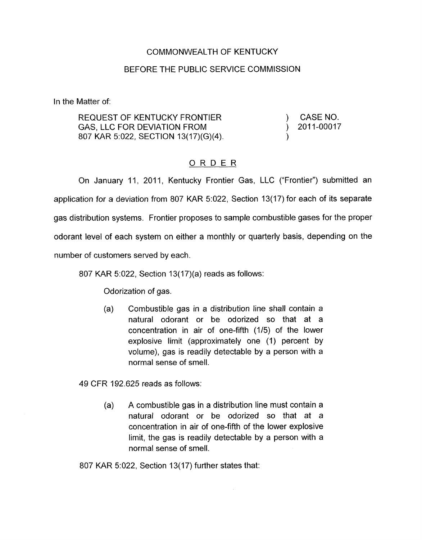## COMMONWEALTH OF KENTUCKY

## BEFORE THE PUBLIC SERVICE COMMISSION

In the Matter of:

REQUEST OF KENTUCKY FRONTIER GAS, LLC FOR DEVIATION FROM 807 KAR 5:022, SECTION 13(17)(G)(4).

CASE NO. ) 2011-00017 )

## ORDER

On January 11, 2011, Kentucky Frontier Gas, LLC ("Frontier") submitted an application for a deviation from 807 KAR 5:022, Section 13(17) for each of its separate gas distribution systems. Frontier proposes to sample combustible gases for the proper odorant level of each system on either a monthly or quarterly basis, depending on the number of customers served by each.

807 KAR 5:022, Section 13(17)(a) reads as follows:

Odorization of gas.

(a) Combustible gas in a distribution line shall contain a natural odorant or be odorized so that at a concentration in air of one-fifth (1/5) of the lower explosive limit (approximately one (1) percent by volume), gas is readily detectable by a person with a normal sense of smell.

49 CFR 192.625 reads as follows:

(a) A combustible gas in a distribution line must contain a natural odorant or be odorized so that at a concentration in air of one-fifth of the lower explosive limit, the gas is readily detectable by a person with a normal sense of smell.

807 KAR 5:022, Section 13(17) further states that: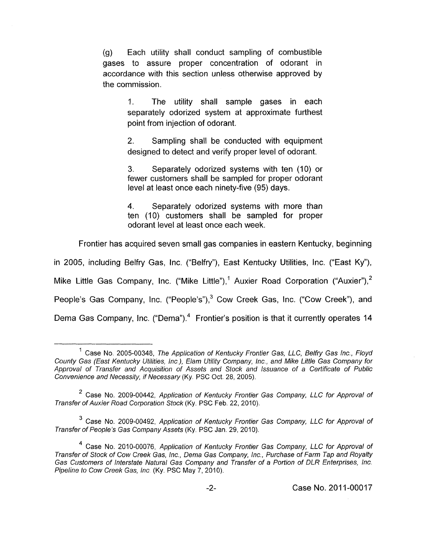(9) Each utility shall conduct sampling of combustible gases to assure proper concentration of odorant in accordance with this section unless otherwise approved by the commission.

> 1. The utility shall sample gases in each separately odorized system at approximate furthest point from injection of odorant.

> 2. designed to detect and verify proper level of odorant. Sampling shall be conducted with equipment

> 3. Separately odorized systems with ten (IO) or fewer customers shall be sampled for proper odorant level at least once each ninety-five (95) days.

> **4.** Separately odorized systems with more than ten (IO) customers shall be sampled for proper odorant level at least once each week.

Frontier has acquired seven small gas companies in eastern Kentucky, beginning

in 2005, including Belfry Gas, Inc. ("Belfry"), East Kentucky Utilities, Inc. ("East Ky"),

Mike Little Gas Company, Inc. ("Mike Little"),<sup>1</sup> Auxier Road Corporation ("Auxier"),<sup>2</sup>

People's Gas Company, Inc. ("People's"),<sup>3</sup> Cow Creek Gas, Inc. ("Cow Creek"), and

Dema Gas Company, Inc. ("Dema").<sup>4</sup> Frontier's position is that it currently operates 14

<sup>&</sup>lt;sup>1</sup> Case No. 2005-00348, *The Application of Kentucky Frontier Gas, LLC, Belfry Gas Inc., Floyd County Gas (East Kentucky Utilities, lnc), Elam Utility Company, lnc., and Mike Little Gas Company for Approval of Transfer and Acquisition of Assets and Stock and lssuance of a Certificate of Public Convenience and Necessity, if Necessary* (Ky PSC Oct. 28,2005).

Case No. 2009-00442, *Application of Kentucky Frontier Gas Company, LLC for Approval of Transfer of Auxier Road Corporation Sfock* (Ky. PSC Feb. 22, 2010).

Case No. 2009-00492, *Application of Kentucky frontjer Gas Company, LLC for Approval of Transfer of People's Gas Company Assets* (Ky. PSC Jan. 29, 2010).

Case No. 2010-00076, *Applicafion of Kentucky Frontier Gas Company, LLC for Approval of Transfer of Stock of Cow Creek Gas, lnc., Dema Gas Company, Inc., Purchase of Farm Tap and Royalty*  Gas Customers of Interstate Natural Gas Company and Transfer of a Portion of DLR Enterprises, Inc. *Pipeline to Cow Creek Gas, lnc* (Ky. PSC May 7, 2010).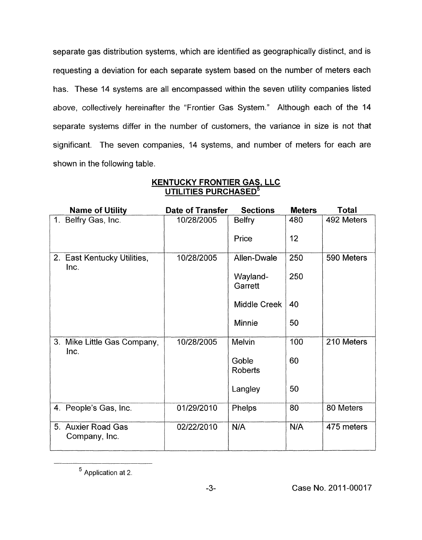separate gas distribution systems, which are identified as geographically distinct, and is requesting a deviation for each separate system based on the number of meters each has. These 14 systems are all encompassed within the seven utility companies listed above, collectively hereinafter the "Frontier Gas System." Although each of the 14 separate systems differ in the number of customers, the variance in size is not that significant. The seven companies, 14 systems, and number of meters for each are shown in the following table.

| <b>Name of Utility</b>              | Date of Transfer | <b>Sections</b>     | <b>Meters</b> | Total      |
|-------------------------------------|------------------|---------------------|---------------|------------|
| Belfry Gas, Inc.<br>$1_{\cdot}$     | 10/28/2005       | <b>Belfry</b>       | 480           | 492 Meters |
|                                     |                  | Price               | 12            |            |
| 2. East Kentucky Utilities,<br>Inc. | 10/28/2005       | Allen-Dwale         | 250           | 590 Meters |
|                                     |                  | Wayland-<br>Garrett | 250           |            |
|                                     |                  | <b>Middle Creek</b> | 40            |            |
|                                     |                  | <b>Minnie</b>       | 50            |            |
| 3. Mike Little Gas Company,<br>Inc. | 10/28/2005       | <b>Melvin</b>       | 100           | 210 Meters |
|                                     |                  | Goble<br>Roberts    | 60            |            |
|                                     |                  | Langley             | 50            |            |
| 4. People's Gas, Inc.               | 01/29/2010       | Phelps              | 80            | 80 Meters  |
| 5. Auxier Road Gas<br>Company, Inc. | 02/22/2010       | N/A                 | N/A           | 475 meters |

## **KENTUCKY FRONTIER GAS, LLC UTILITIES PURCHASED5**

Application at 2.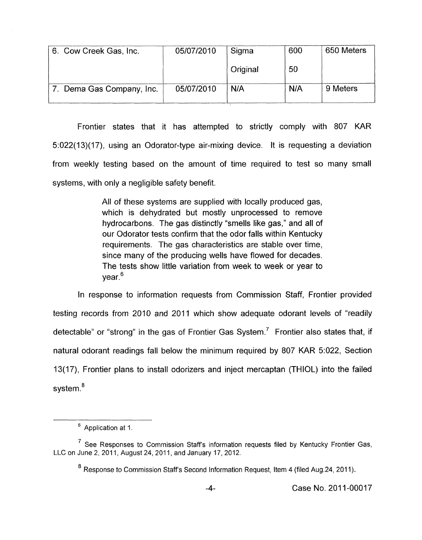| 6. Cow Creek Gas, Inc.    | 05/07/2010 | Sigma    | 600 | 650 Meters |
|---------------------------|------------|----------|-----|------------|
|                           |            | Original | 50  |            |
| 7. Dema Gas Company, Inc. | 05/07/2010 | N/A      | N/A | 9 Meters   |

Frontier states that it has attempted to strictly comply with 807 KAR 5:022( 13)(17), using an Odorator-type air-mixing device. It is requesting a deviation from weekly testing based on the amount of time required to test so many small systems, with only a negligible safety benefit.

> All *of* these systems are supplied with locally produced gas, which is dehydrated but mostly unprocessed to remove hydrocarbons. The gas distinctly "smells like gas," and all of our Odorator tests confirm that the odor falls within Kentucky requirements. The gas characteristics are stable over time, since many of the producing wells have flowed for decades. The tests show little variation from week to week or year to year.<sup>6</sup>

In response to information requests from Commission Staff, Frontier provided testing records from 2010 and 2011 which show adequate odorant levels of "readily detectable" or "strong" in the gas of Frontier Gas System.<sup>7</sup> Frontier also states that, if natural odorant readings fall below the minimum required by 807 KAR 5:022, Section 13(17), Frontier plans to install odorizers and inject mercaptan (THIOL) into the failed system **.8** 

<sup>&</sup>lt;sup>6</sup> Application at 1.

 $7$  See Responses to Commission Staff's information requests filed by Kentucky Frontier Gas, LLC on June 2, 2011, August 24, 2011, and January 17, 2012.

 $8$  Response to Commission Staff's Second Information Request, Item 4 (filed Aug.24, 2011).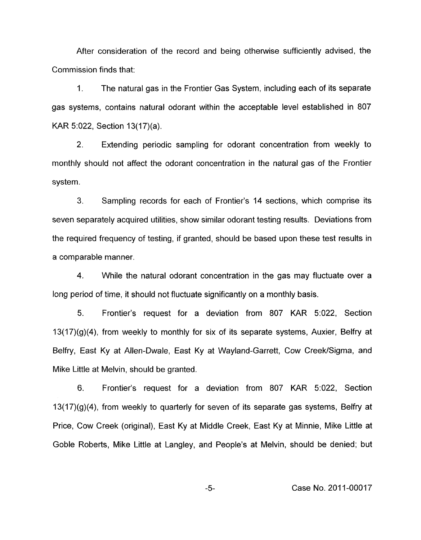After consideration of the record and being otherwise sufficiently advised, the Commission finds that:

1. The natural gas in the Frontier Gas System, including each of its separate gas systems, contains natural odorant within the acceptable level established in 807 KAR 5:022, Section 13( 17)(a).

2. Extending periodic sampling for odorant concentration from weekly to monthly should not affect the odorant concentration in the natural gas of the Frontier system.

**3.** Sampling records for each of Frontier's 14 sections, which comprise its seven separately acquired utilities, show similar odorant testing results. Deviations from the required frequency of testing, if granted, should be based upon these test results in a comparable manner.

4. While the natural odorant concentration in the gas may fluctuate over a long period of time, it should not fluctuate significantly on a monthly basis.

5. Frontier's request for a deviation from 807 KAR 5:022, Section 13(17)(g)(4), from weekly to monthly for six of its separate systems, Auxier, Belfry at Belfry, East Ky at Allen-Dwale, East Ky at Wayland-Garrett, Cow Creek/Sigma, and Mike Little at Melvin, should be granted.

6. Frontier's request for a deviation from 807 KAR 5:022, Section  $13(17)(g)(4)$ , from weekly to quarterly for seven of its separate gas systems, Belfry at Price, Cow Creek (original), East Ky at Middle Creek, East Ky at Minnie, Mike Little at Goble Roberts, Mike Little at Langley, and People's at Melvin, should be denied; but

*-5-* Case No. 2011-00017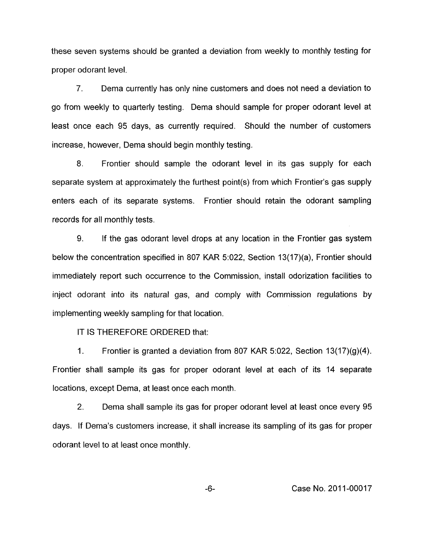these seven systems should be granted a deviation from weekly to monthly testing for proper odorant level.

7. Dema currently has only nine customers and does not need a deviation to go from weekly to quarterly testing. Dema should sample for proper odorant level at least once each 95 days, as currently required. Should the number of customers increase, however, Dema should begin monthly testing.

8. Frontier should sample the odorant level in its gas supply for each separate system at approximately the furthest point(s) from which Frontier's gas supply enters each of its separate systems. Frontier should retain the odorant sampling records for all monthly tests.

9. If the gas odorant level drops at any location in the Frontier gas system below the concentration specified in 807 KAR 5:022, Section 13(17)(a), Frontier should immediately report such occurrence to the Commission, install odorization facilities to inject odorant into its natural gas, and comply with Commission regulations by implementing weekly sampling for that location.

IT IS THEREFORE ORDERED that:

1. Frontier is granted a deviation from 807 KAR 5:022, Section  $13(17)(g)(4)$ . Frontier shall sample its gas for proper odorant level at each of its 14 separate locations, except Dema, at least once each month.

2. Dema shall sample its gas for proper odorant level at least once every 95 days. If Dema's customers increase, it shall increase its sampling of its gas for proper odorant level to at least once monthly.

-6- Case No. 201 1-00017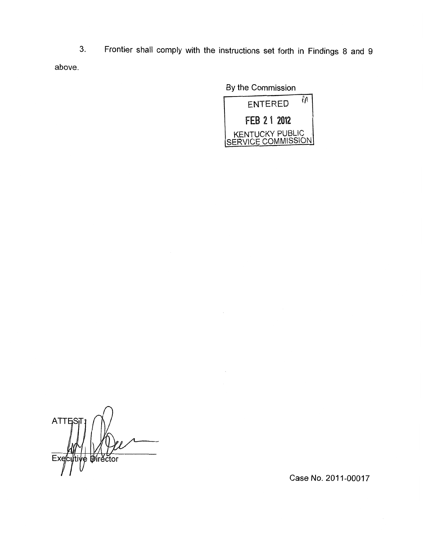**3.** Frontier shall comply with the instructions set forth in Findings 8 and 9 above.

 $\cdot$ 

By the Commission

| ίA<br><b>ENTERED</b>                  |  |  |  |
|---------------------------------------|--|--|--|
| FEB 2 1 2012                          |  |  |  |
| KENTUCKY PUBLIC<br>SERVICE COMMISSION |  |  |  |

**ATTES Wirector** Exec Ιę

Case **No.** 201 1-00017